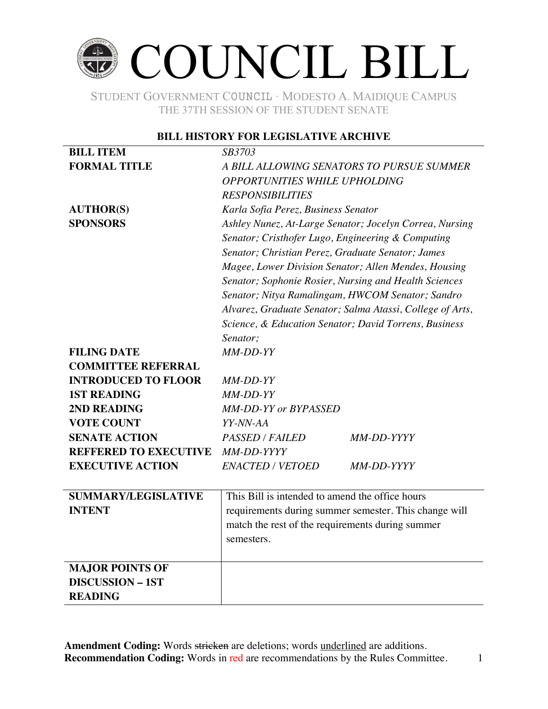## COUNCIL BILL

STUDENT GOVERNMENT COUNCIL ∙ MODESTO A. MAIDIQUE CAMPUS THE 37TH SESSION OF THE STUDENT SENATE

#### **BILL HISTORY FOR LEGISLATIVE ARCHIVE**

| <b>BILL ITEM</b>             | SB3703                                                    |  |  |
|------------------------------|-----------------------------------------------------------|--|--|
| <b>FORMAL TITLE</b>          | A BILL ALLOWING SENATORS TO PURSUE SUMMER                 |  |  |
|                              | <b>OPPORTUNITIES WHILE UPHOLDING</b>                      |  |  |
|                              | <b>RESPONSIBILITIES</b>                                   |  |  |
| <b>AUTHOR(S)</b>             | Karla Sofia Perez, Business Senator                       |  |  |
| <b>SPONSORS</b>              | Ashley Nunez, At-Large Senator; Jocelyn Correa, Nursing   |  |  |
|                              | Senator; Cristhofer Lugo, Engineering & Computing         |  |  |
|                              | Senator; Christian Perez, Graduate Senator; James         |  |  |
|                              | Magee, Lower Division Senator; Allen Mendes, Housing      |  |  |
|                              | Senator; Sophonie Rosier, Nursing and Health Sciences     |  |  |
|                              | Senator; Nitya Ramalingam, HWCOM Senator; Sandro          |  |  |
|                              | Alvarez, Graduate Senator; Salma Atassi, College of Arts, |  |  |
|                              | Science, & Education Senator; David Torrens, Business     |  |  |
|                              | Senator;                                                  |  |  |
| <b>FILING DATE</b>           | MM-DD-YY                                                  |  |  |
| <b>COMMITTEE REFERRAL</b>    |                                                           |  |  |
| <b>INTRODUCED TO FLOOR</b>   | MM-DD-YY                                                  |  |  |
| <b>1ST READING</b>           | MM-DD-YY                                                  |  |  |
| 2ND READING                  | <b>MM-DD-YY or BYPASSED</b>                               |  |  |
| <b>VOTE COUNT</b>            | YY-NN-AA                                                  |  |  |
| <b>SENATE ACTION</b>         | <b>PASSED / FAILED</b><br>MM-DD-YYYY                      |  |  |
| <b>REFFERED TO EXECUTIVE</b> | MM-DD-YYYY                                                |  |  |
| <b>EXECUTIVE ACTION</b>      | <b>ENACTED / VETOED</b><br>MM-DD-YYYY                     |  |  |
|                              |                                                           |  |  |
| <b>SUMMARY/LEGISLATIVE</b>   | This Bill is intended to amend the office hours           |  |  |
| <b>INTENT</b>                | requirements during summer semester. This change will     |  |  |
|                              | match the rest of the requirements during summer          |  |  |
|                              | semesters.                                                |  |  |
|                              |                                                           |  |  |
| <b>MAJOR POINTS OF</b>       |                                                           |  |  |
| <b>DISCUSSION - 1ST</b>      |                                                           |  |  |
| <b>READING</b>               |                                                           |  |  |
|                              |                                                           |  |  |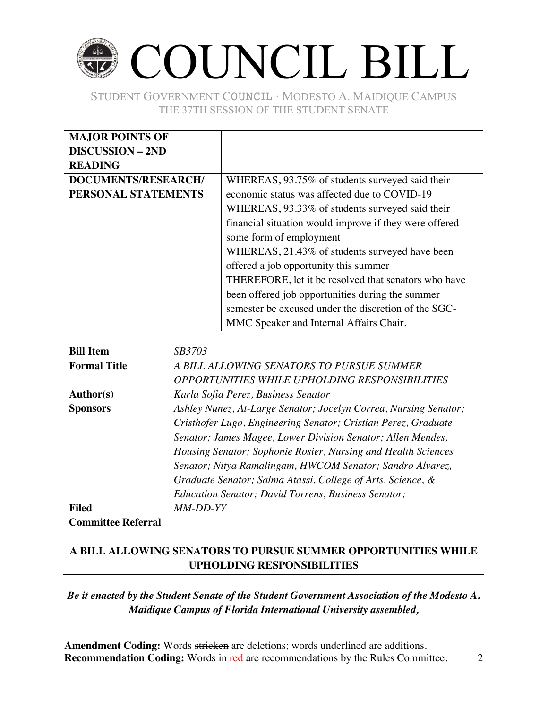## COUNCIL BILL

STUDENT GOVERNMENT COUNCIL ∙ MODESTO A. MAIDIQUE CAMPUS THE 37TH SESSION OF THE STUDENT SENATE

| <b>MAJOR POINTS OF</b>            |                                                        |
|-----------------------------------|--------------------------------------------------------|
| <b>DISCUSSION - 2ND</b>           |                                                        |
| <b>READING</b>                    |                                                        |
| DOCUMENTS/RESEARCH/               | WHEREAS, 93.75% of students surveyed said their        |
| PERSONAL STATEMENTS               | economic status was affected due to COVID-19           |
|                                   | WHEREAS, 93.33% of students surveyed said their        |
|                                   | financial situation would improve if they were offered |
|                                   | some form of employment                                |
|                                   | WHEREAS, 21.43% of students surveyed have been         |
|                                   | offered a job opportunity this summer                  |
|                                   | THEREFORE, let it be resolved that senators who have   |
|                                   | been offered job opportunities during the summer       |
|                                   | semester be excused under the discretion of the SGC-   |
|                                   | MMC Speaker and Internal Affairs Chair.                |
|                                   |                                                        |
| <i>SB3703</i><br><b>Bill Item</b> |                                                        |
| <b>Formal Title</b>               | A BILL ALLOWING SENATORS TO PURSUE SUMMER              |
|                                   | OPPORTUNITIES WHILE UPHOLDING RESPONSIBILITIES         |

| <b>Author(s)</b>          | Karla Sofia Perez, Business Senator                              |
|---------------------------|------------------------------------------------------------------|
|                           |                                                                  |
| <b>Sponsors</b>           | Ashley Nunez, At-Large Senator; Jocelyn Correa, Nursing Senator; |
|                           | Cristhofer Lugo, Engineering Senator; Cristian Perez, Graduate   |
|                           | Senator; James Magee, Lower Division Senator; Allen Mendes,      |
|                           | Housing Senator; Sophonie Rosier, Nursing and Health Sciences    |
|                           | Senator; Nitya Ramalingam, HWCOM Senator; Sandro Alvarez,        |
|                           | Graduate Senator; Salma Atassi, College of Arts, Science, &      |
|                           | <i>Education Senator; David Torrens, Business Senator;</i>       |
| <b>Filed</b>              | <i>MM-DD-YY</i>                                                  |
| <b>Committee Referral</b> |                                                                  |

### **A BILL ALLOWING SENATORS TO PURSUE SUMMER OPPORTUNITIES WHILE UPHOLDING RESPONSIBILITIES**

### *Be it enacted by the Student Senate of the Student Government Association of the Modesto A. Maidique Campus of Florida International University assembled,*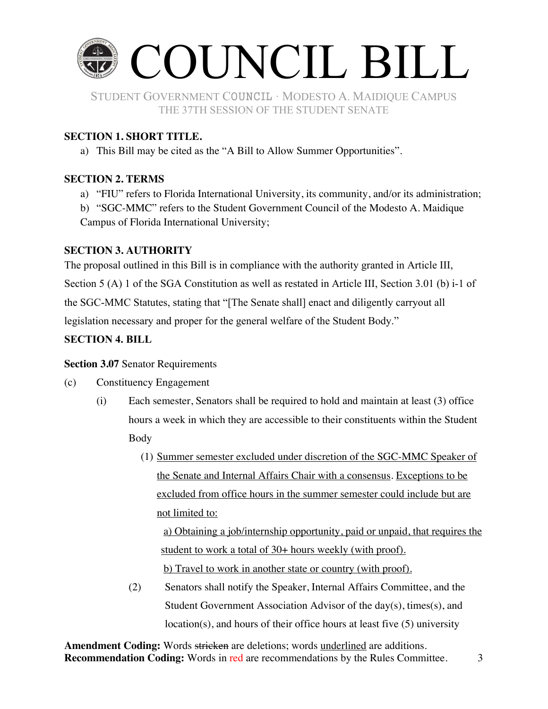

THE 37TH SESSION OF THE STUDENT SENATE

#### **SECTION 1. SHORT TITLE.**

a) This Bill may be cited as the "A Bill to Allow Summer Opportunities".

#### **SECTION 2. TERMS**

a) "FIU" refers to Florida International University, its community, and/or its administration;

b) "SGC-MMC" refers to the Student Government Council of the Modesto A. Maidique Campus of Florida International University;

#### **SECTION 3. AUTHORITY**

The proposal outlined in this Bill is in compliance with the authority granted in Article III, Section 5 (A) 1 of the SGA Constitution as well as restated in Article III, Section 3.01 (b) i-1 of the SGC-MMC Statutes, stating that "[The Senate shall] enact and diligently carryout all legislation necessary and proper for the general welfare of the Student Body."

#### **SECTION 4. BILL**

#### **Section 3.07** Senator Requirements

- (c) Constituency Engagement
	- (i) Each semester, Senators shall be required to hold and maintain at least (3) office hours a week in which they are accessible to their constituents within the Student Body
		- (1) Summer semester excluded under discretion of the SGC-MMC Speaker of the Senate and Internal Affairs Chair with a consensus. Exceptions to be excluded from office hours in the summer semester could include but are not limited to:

a) Obtaining a job/internship opportunity, paid or unpaid, that requires the student to work a total of 30+ hours weekly (with proof). b) Travel to work in another state or country (with proof).

(2) Senators shall notify the Speaker, Internal Affairs Committee, and the Student Government Association Advisor of the day(s), times(s), and location(s), and hours of their office hours at least five (5) university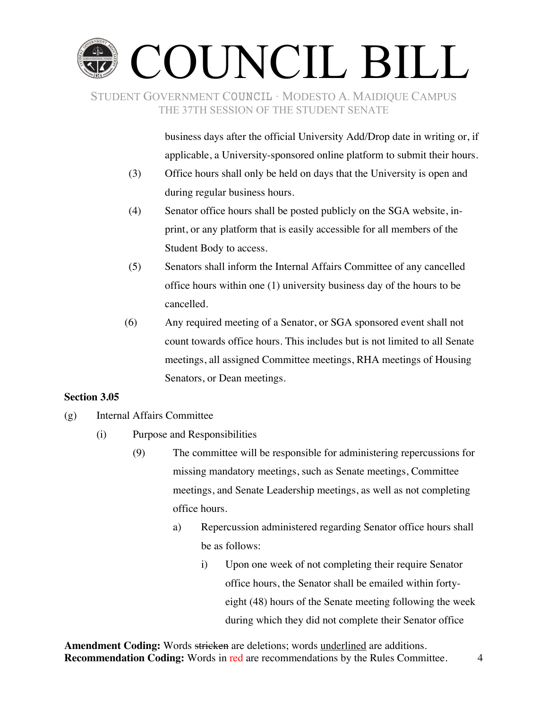# COUNCIL BILL

STUDENT GOVERNMENT COUNCIL ∙ MODESTO A. MAIDIQUE CAMPUS THE 37TH SESSION OF THE STUDENT SENATE

> business days after the official University Add/Drop date in writing or, if applicable, a University-sponsored online platform to submit their hours.

- (3) Office hours shall only be held on days that the University is open and during regular business hours.
- (4) Senator office hours shall be posted publicly on the SGA website, inprint, or any platform that is easily accessible for all members of the Student Body to access.
- (5) Senators shall inform the Internal Affairs Committee of any cancelled office hours within one (1) university business day of the hours to be cancelled.
- (6) Any required meeting of a Senator, or SGA sponsored event shall not count towards office hours. This includes but is not limited to all Senate meetings, all assigned Committee meetings, RHA meetings of Housing Senators, or Dean meetings.

#### **Section 3.05**

- (g) Internal Affairs Committee
	- (i) Purpose and Responsibilities
		- (9) The committee will be responsible for administering repercussions for missing mandatory meetings, such as Senate meetings, Committee meetings, and Senate Leadership meetings, as well as not completing office hours.
			- a) Repercussion administered regarding Senator office hours shall be as follows:
				- i) Upon one week of not completing their require Senator office hours, the Senator shall be emailed within fortyeight (48) hours of the Senate meeting following the week during which they did not complete their Senator office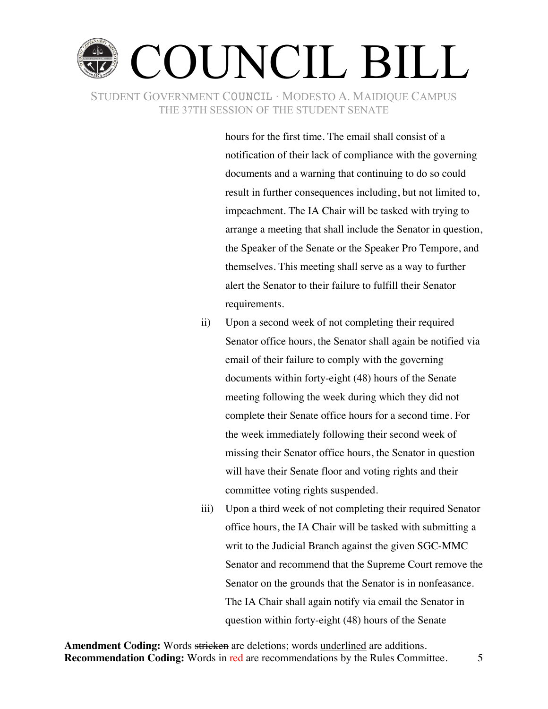

hours for the first time. The email shall consist of a notification of their lack of compliance with the governing documents and a warning that continuing to do so could result in further consequences including, but not limited to, impeachment. The IA Chair will be tasked with trying to arrange a meeting that shall include the Senator in question, the Speaker of the Senate or the Speaker Pro Tempore, and themselves. This meeting shall serve as a way to further alert the Senator to their failure to fulfill their Senator requirements.

- ii) Upon a second week of not completing their required Senator office hours, the Senator shall again be notified via email of their failure to comply with the governing documents within forty-eight (48) hours of the Senate meeting following the week during which they did not complete their Senate office hours for a second time. For the week immediately following their second week of missing their Senator office hours, the Senator in question will have their Senate floor and voting rights and their committee voting rights suspended.
- iii) Upon a third week of not completing their required Senator office hours, the IA Chair will be tasked with submitting a writ to the Judicial Branch against the given SGC-MMC Senator and recommend that the Supreme Court remove the Senator on the grounds that the Senator is in nonfeasance. The IA Chair shall again notify via email the Senator in question within forty-eight (48) hours of the Senate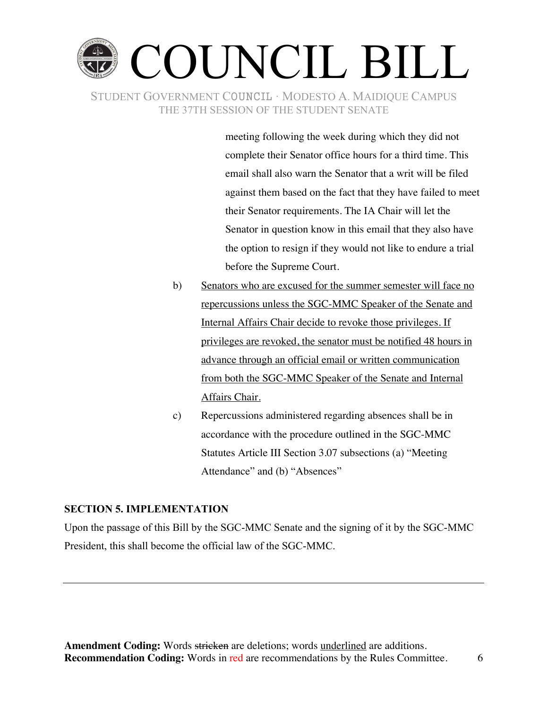

meeting following the week during which they did not complete their Senator office hours for a third time. This email shall also warn the Senator that a writ will be filed against them based on the fact that they have failed to meet their Senator requirements. The IA Chair will let the Senator in question know in this email that they also have the option to resign if they would not like to endure a trial before the Supreme Court.

- b) Senators who are excused for the summer semester will face no repercussions unless the SGC-MMC Speaker of the Senate and Internal Affairs Chair decide to revoke those privileges. If privileges are revoked, the senator must be notified 48 hours in advance through an official email or written communication from both the SGC-MMC Speaker of the Senate and Internal Affairs Chair.
- c) Repercussions administered regarding absences shall be in accordance with the procedure outlined in the SGC-MMC Statutes Article III Section 3.07 subsections (a) "Meeting Attendance" and (b) "Absences"

#### **SECTION 5. IMPLEMENTATION**

Upon the passage of this Bill by the SGC-MMC Senate and the signing of it by the SGC-MMC President, this shall become the official law of the SGC-MMC.